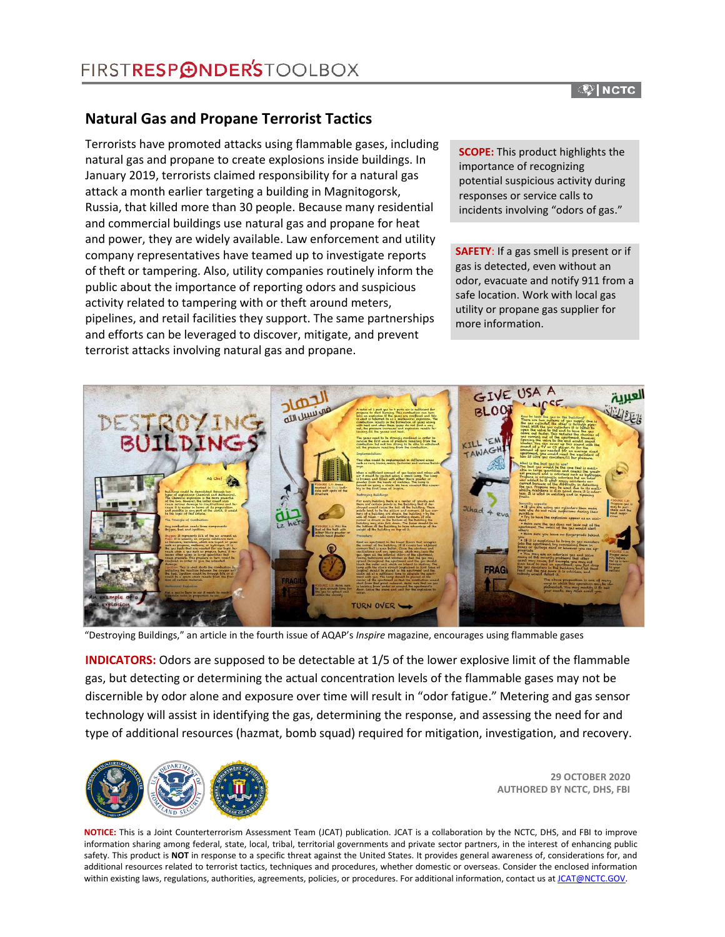### **Natural Gas and Propane Terrorist Tactics**

Terrorists have promoted attacks using flammable gases, including natural gas and propane to create explosions inside buildings. In January 2019, terrorists claimed responsibility for a natural gas attack a month earlier targeting a building in Magnitogorsk, Russia, that killed more than 30 people. Because many residential and commercial buildings use natural gas and propane for heat and power, they are widely available. Law enforcement and utility company representatives have teamed up to investigate reports of theft or tampering. Also, utility companies routinely inform the public about the importance of reporting odors and suspicious activity related to tampering with or theft around meters, pipelines, and retail facilities they support. The same partnerships and efforts can be leveraged to discover, mitigate, and prevent terrorist attacks involving natural gas and propane.

**SCOPE:** This product highlights the importance of recognizing potential suspicious activity during responses or service calls to incidents involving "odors of gas."

**SAFETY**: If a gas smell is present or if gas is detected, even without an odor, evacuate and notify 911 from a safe location. Work with local gas utility or propane gas supplier for more information.



"Destroying Buildings," an article in the fourth issue of AQAP's *Inspire* magazine, encourages using flammable gases

**INDICATORS:** Odors are supposed to be detectable at 1/5 of the lower explosive limit of the flammable gas, but detecting or determining the actual concentration levels of the flammable gases may not be discernible by odor alone and exposure over time will result in "odor fatigue." Metering and gas sensor technology will assist in identifying the gas, determining the response, and assessing the need for and type of additional resources (hazmat, bomb squad) required for mitigation, investigation, and recovery.



**29 OCTOBER 2020 AUTHORED BY NCTC, DHS, FBI**

**NOTICE:** This is a Joint Counterterrorism Assessment Team (JCAT) publication. JCAT is a collaboration by the NCTC, DHS, and FBI to improve information sharing among federal, state, local, tribal, territorial governments and private sector partners, in the interest of enhancing public safety. This product is **NOT** in response to a specific threat against the United States. It provides general awareness of, considerations for, and additional resources related to terrorist tactics, techniques and procedures, whether domestic or overseas. Consider the enclosed information within existing laws, regulations, authorities, agreements, policies, or procedures. For additional information, contact us a[t JCAT@NCTC.GOV.](mailto:JCAT@NCTC.GOV)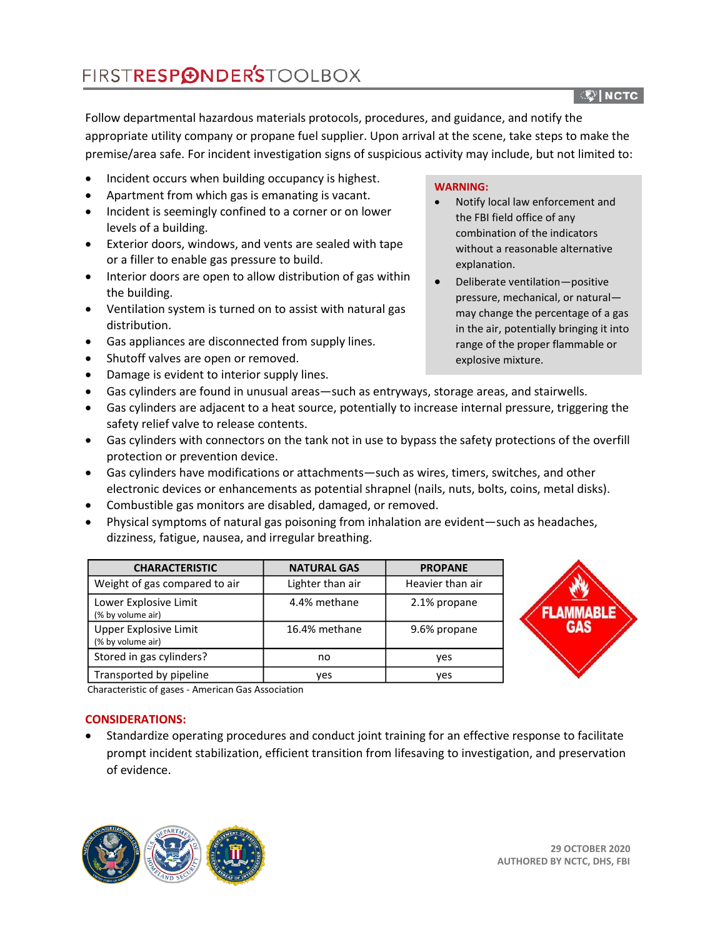#### ्षि| NCTC ।

Follow departmental hazardous materials protocols, procedures, and guidance, and notify the appropriate utility company or propane fuel supplier. Upon arrival at the scene, take steps to make the premise/area safe. For incident investigation signs of suspicious activity may include, but not limited to:

- Incident occurs when building occupancy is highest.
- Apartment from which gas is emanating is vacant.
- Incident is seemingly confined to a corner or on lower levels of a building.
- Exterior doors, windows, and vents are sealed with tape or a filler to enable gas pressure to build.
- Interior doors are open to allow distribution of gas within the building.
- Ventilation system is turned on to assist with natural gas distribution.
- Gas appliances are disconnected from supply lines.
- Shutoff valves are open or removed.
- Damage is evident to interior supply lines.

### **WARNING:**

- Notify local law enforcement and the FBI field office of any combination of the indicators without a reasonable alternative explanation.
- Deliberate ventilation—positive pressure, mechanical, or natural may change the percentage of a gas in the air, potentially bringing it into range of the proper flammable or explosive mixture.
- Gas cylinders are found in unusual areas—such as entryways, storage areas, and stairwells.
- Gas cylinders are adjacent to a heat source, potentially to increase internal pressure, triggering the safety relief valve to release contents.
- Gas cylinders with connectors on the tank not in use to bypass the safety protections of the overfill protection or prevention device.
- Gas cylinders have modifications or attachments—such as wires, timers, switches, and other electronic devices or enhancements as potential shrapnel (nails, nuts, bolts, coins, metal disks).
- Combustible gas monitors are disabled, damaged, or removed.
- Physical symptoms of natural gas poisoning from inhalation are evident—such as headaches, dizziness, fatigue, nausea, and irregular breathing.

| <b>CHARACTERISTIC</b>                      | <b>NATURAL GAS</b> | <b>PROPANE</b>   |
|--------------------------------------------|--------------------|------------------|
| Weight of gas compared to air              | Lighter than air   | Heavier than air |
| Lower Explosive Limit<br>(% by volume air) | 4.4% methane       | 2.1% propane     |
| Upper Explosive Limit<br>(% by volume air) | 16.4% methane      | 9.6% propane     |
| Stored in gas cylinders?                   | no                 | yes              |
| Transported by pipeline                    | ves                | ves              |



Characteristic of gases - American Gas Association

### **CONSIDERATIONS:**

• Standardize operating procedures and conduct joint training for an effective response to facilitate prompt incident stabilization, efficient transition from lifesaving to investigation, and preservation of evidence.

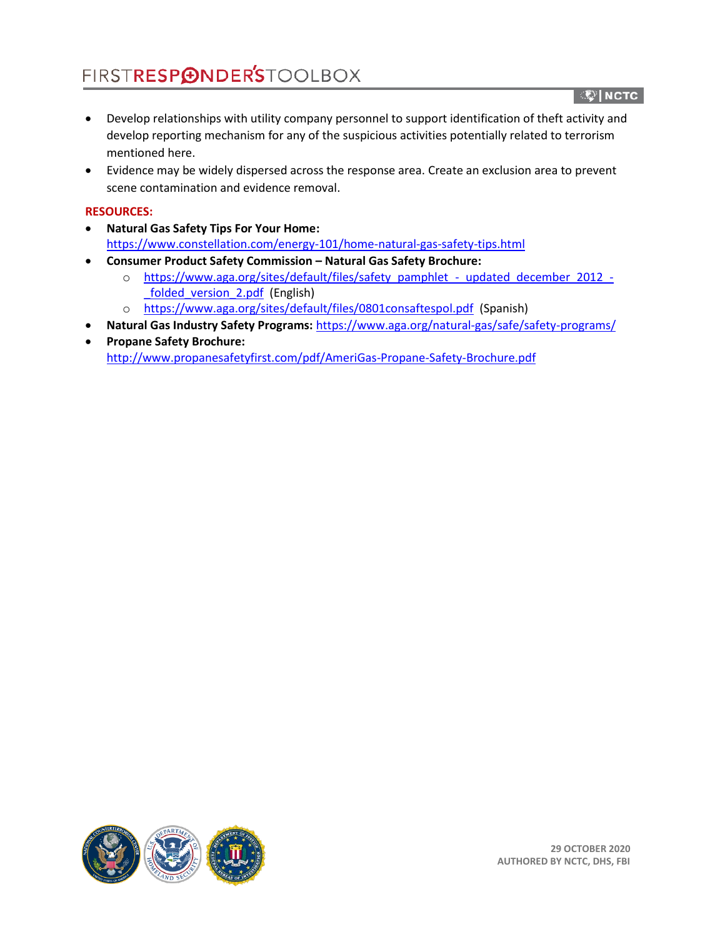## FIRSTRESP**@NDER'S**TOOLBOX

्षि| NCTC ।

- Develop relationships with utility company personnel to support identification of theft activity and develop reporting mechanism for any of the suspicious activities potentially related to terrorism mentioned here.
- Evidence may be widely dispersed across the response area. Create an exclusion area to prevent scene contamination and evidence removal.

### **RESOURCES:**

- **Natural Gas Safety Tips For Your Home:** <https://www.constellation.com/energy-101/home-natural-gas-safety-tips.html>
- **Consumer Product Safety Commission – Natural Gas Safety Brochure:**
	- o [https://www.aga.org/sites/default/files/safety\\_pamphlet\\_-\\_updated\\_december\\_2012\\_-](https://www.aga.org/sites/default/files/safety_pamphlet_-_updated_december_2012_-_folded_version_2.pdf) [\\_folded\\_version\\_2.pdf](https://www.aga.org/sites/default/files/safety_pamphlet_-_updated_december_2012_-_folded_version_2.pdf) (English)
	- o <https://www.aga.org/sites/default/files/0801consaftespol.pdf> (Spanish)
- **Natural Gas Industry Safety Programs:** <https://www.aga.org/natural-gas/safe/safety-programs/>
- **Propane Safety Brochure:** <http://www.propanesafetyfirst.com/pdf/AmeriGas-Propane-Safety-Brochure.pdf>